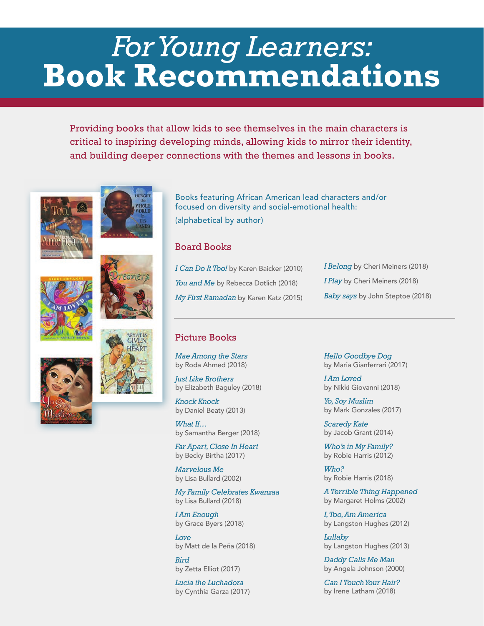## *For Young Learners:*  **Book Recommendations**

Providing books that allow kids to see themselves in the main characters is critical to inspiring developing minds, allowing kids to mirror their identity, and building deeper connections with the themes and lessons in books.











Books featuring African American lead characters and/or focused on diversity and social-emotional health: (alphabetical by author)

## Board Books

*I Can Do It Too!* by Karen Baicker (2010) You and Me by Rebecca Dotlich (2018) *My First Ramadan* by Karen Katz (2015) *I Belong* by Cheri Meiners (2018) *I Play* by Cheri Meiners (2018) *Baby says* by John Steptoe (2018)

## Picture Books

*Mae Among the Stars*  by Roda Ahmed (2018)

*Just Like Brothers*  by Elizabeth Baguley (2018)

*Knock Knock*  by Daniel Beaty (2013)

*What If…*  by Samantha Berger (2018)

*Far Apart, Close In Heart*  by Becky Birtha (2017)

*Marvelous Me*  by Lisa Bullard (2002)

*My Family Celebrates Kwanzaa*  by Lisa Bullard (2018)

*I Am Enough*  by Grace Byers (2018)

*Love*  by Matt de la Peña (2018)

*Bird*  by Zetta Elliot (2017)

*Lucia the Luchadora*  by Cynthia Garza (2017) *Hello Goodbye Dog*  by Maria Gianferrari (2017)

*I Am Loved*  by Nikki Giovanni (2018)

*Yo, Soy Muslim*  by Mark Gonzales (2017)

*Scaredy Kate*  by Jacob Grant (2014)

*Who's in My Family?*  by Robie Harris (2012)

*Who?*  by Robie Harris (2018)

*A Terrible Thing Happened*  by Margaret Holms (2002)

*I, Too, Am America*  by Langston Hughes (2012)

*Lullaby*  by Langston Hughes (2013)

*Daddy Calls Me Man*  by Angela Johnson (2000)

*Can I Touch Your Hair?*  by Irene Latham (2018)